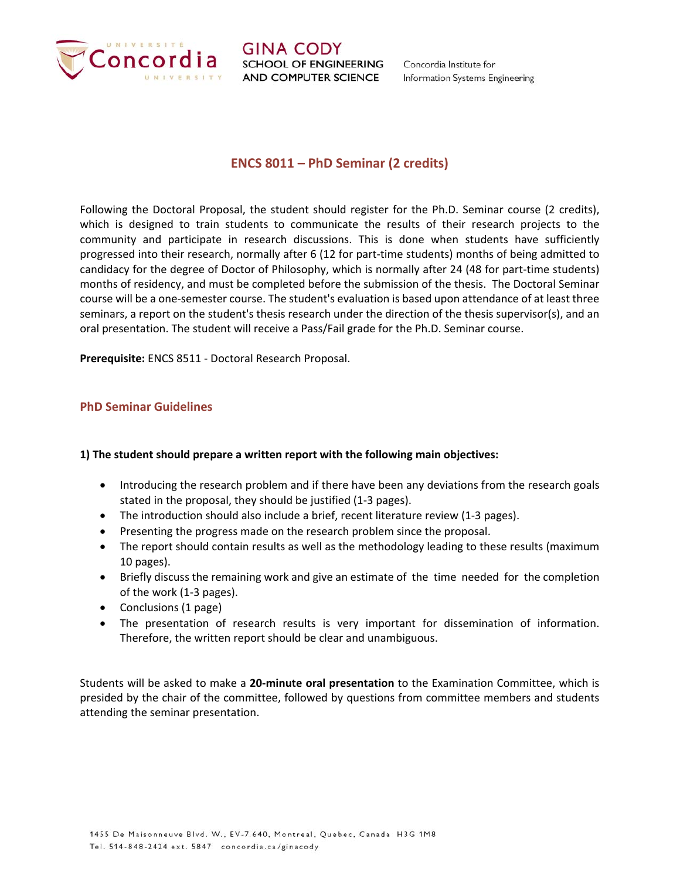

Concordia Institute for Information Systems Engineering

# **ENCS 8011 – PhD Seminar (2 credits)**

Following the Doctoral Proposal, the student should register for the Ph.D. Seminar course (2 credits), which is designed to train students to communicate the results of their research projects to the community and participate in research discussions. This is done when students have sufficiently progressed into their research, normally after 6 (12 for part‐time students) months of being admitted to candidacy for the degree of Doctor of Philosophy, which is normally after 24 (48 for part-time students) months of residency, and must be completed before the submission of the thesis. The Doctoral Seminar course will be a one‐semester course. The student's evaluation is based upon attendance of at least three seminars, a report on the student's thesis research under the direction of the thesis supervisor(s), and an oral presentation. The student will receive a Pass/Fail grade for the Ph.D. Seminar course.

**Prerequisite:** ENCS 8511 ‐ Doctoral Research Proposal.

# **PhD Seminar Guidelines**

# **1) The student should prepare a written report with the following main objectives:**

- Introducing the research problem and if there have been any deviations from the research goals stated in the proposal, they should be justified (1‐3 pages).
- The introduction should also include a brief, recent literature review (1‐3 pages).
- Presenting the progress made on the research problem since the proposal.
- The report should contain results as well as the methodology leading to these results (maximum 10 pages).
- Briefly discuss the remaining work and give an estimate of the time needed for the completion of the work (1‐3 pages).
- Conclusions (1 page)
- The presentation of research results is very important for dissemination of information. Therefore, the written report should be clear and unambiguous.

Students will be asked to make a **20‐minute oral presentation** to the Examination Committee, which is presided by the chair of the committee, followed by questions from committee members and students attending the seminar presentation.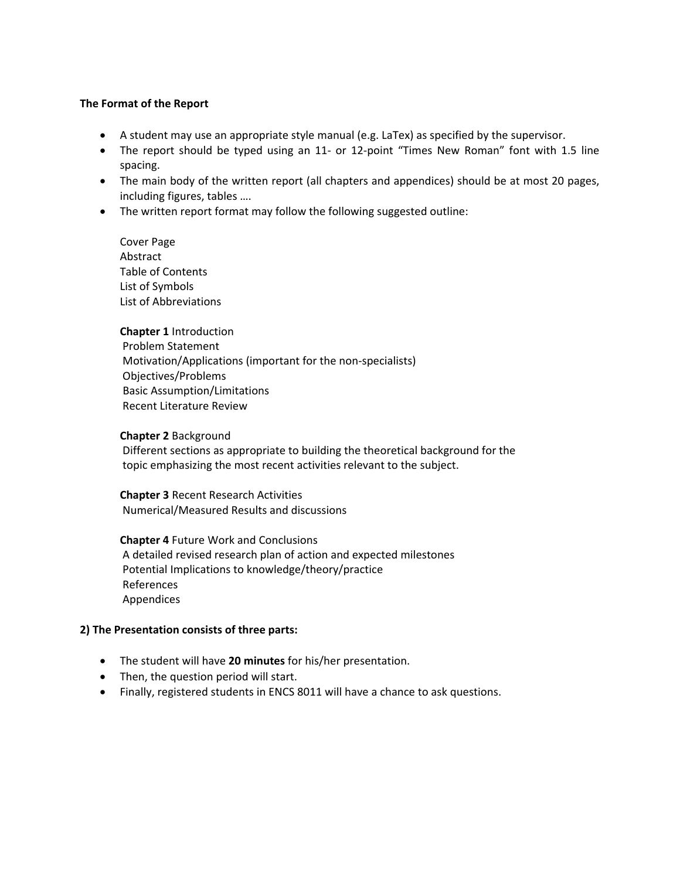#### **The Format of the Report**

- A student may use an appropriate style manual (e.g. LaTex) as specified by the supervisor.
- The report should be typed using an 11- or 12-point "Times New Roman" font with 1.5 line spacing.
- The main body of the written report (all chapters and appendices) should be at most 20 pages, including figures, tables ….
- The written report format may follow the following suggested outline:

Cover Page Abstract Table of Contents List of Symbols List of Abbreviations

**Chapter 1** Introduction Problem Statement Motivation/Applications (important for the non‐specialists) Objectives/Problems Basic Assumption/Limitations Recent Literature Review

#### **Chapter 2** Background

 Different sections as appropriate to building the theoretical background for the topic emphasizing the most recent activities relevant to the subject.

**Chapter 3** Recent Research Activities Numerical/Measured Results and discussions

**Chapter 4** Future Work and Conclusions A detailed revised research plan of action and expected milestones Potential Implications to knowledge/theory/practice References Appendices

#### **2) The Presentation consists of three parts:**

- The student will have **20 minutes** for his/her presentation.
- Then, the question period will start.
- Finally, registered students in ENCS 8011 will have a chance to ask questions.